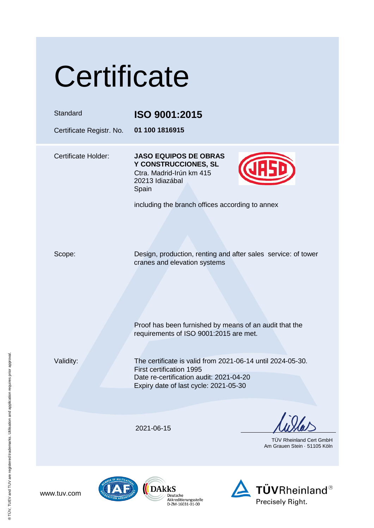|  | Certificate |  |
|--|-------------|--|
|  |             |  |

| Standard<br>Certificate Registr. No. | ISO 9001:2015<br>01 100 1816915                                                                                                                                            |
|--------------------------------------|----------------------------------------------------------------------------------------------------------------------------------------------------------------------------|
| <b>Certificate Holder:</b>           | <b>JASO EQUIPOS DE OBRAS</b><br>Y CONSTRUCCIONES, SL<br>Ctra. Madrid-Irún km 415<br>20213 Idiazábal<br>Spain<br>including the branch offices according to annex            |
| Scope:                               | Design, production, renting and after sales service: of tower<br>cranes and elevation systems                                                                              |
|                                      | Proof has been furnished by means of an audit that the<br>requirements of ISO 9001:2015 are met.                                                                           |
| Validity:                            | The certificate is valid from 2021-06-14 until 2024-05-30.<br>First certification 1995<br>Date re-certification audit: 2021-04-20<br>Expiry date of last cycle: 2021-05-30 |
|                                      | 2021-06-15<br>TÜV Rheinland Cert GmbH<br>Am Grauen Stein · 51105 Köln                                                                                                      |
| OF MULTILA                           |                                                                                                                                                                            |

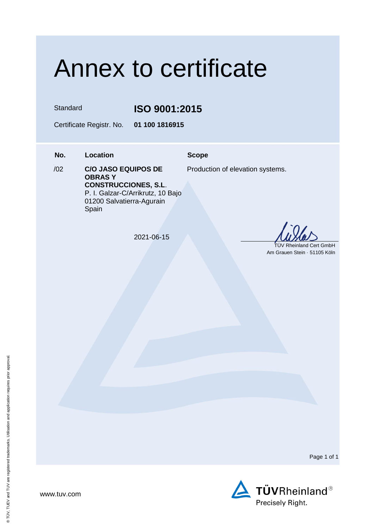## Annex to certificate

 $102$ 

Standard **ISO 9001:2015**

Certificate Registr. No. **01 100 1816915**

**No. Location Scope**

Production of elevation systems.

**OBRAS Y CONSTRUCCIONES, S.L**. P. I. Galzar-C/Arrikrutz, 10 Bajo 01200 Salvatierra-Agurain Spain

/02 **C/O JASO EQUIPOS DE** 

2021-06-15

 TÜV Rheinland Cert GmbH Am Grauen Stein · 51105 Köln

Page 1 of 1

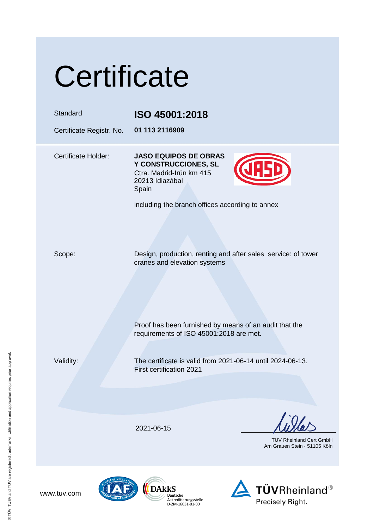|  | Certificate |  |
|--|-------------|--|
|  |             |  |

| Standard<br>Certificate Registr. No. | ISO 45001:2018<br>01 113 2116909                                                                                                                                |
|--------------------------------------|-----------------------------------------------------------------------------------------------------------------------------------------------------------------|
| <b>Certificate Holder:</b>           | <b>JASO EQUIPOS DE OBRAS</b><br>Y CONSTRUCCIONES, SL<br>Ctra. Madrid-Irún km 415<br>20213 Idiazábal<br>Spain<br>including the branch offices according to annex |
| Scope:                               | Design, production, renting and after sales service: of tower<br>cranes and elevation systems<br>Proof has been furnished by means of an audit that the         |
| Validity:                            | requirements of ISO 45001:2018 are met.<br>The certificate is valid from 2021-06-14 until 2024-06-13.<br><b>First certification 2021</b>                        |
|                                      |                                                                                                                                                                 |
|                                      | 2021-06-15<br>TÜV Rheinland Cert GmbH<br>Am Grauen Stein 51105 Kölr                                                                                             |
|                                      |                                                                                                                                                                 |



 $\sum_{\substack{\text{Deutschen} \\ \text{O} \\ \text{O} \\ \text{O} \\ \text{O} \\ \text{O} \\ \text{O} \\ \text{O} \\ \text{O} \\ \text{O} \\ \text{O} \\ \text{O} \\ \text{O} \\ \text{O} \\ \text{O} \\ \text{O} \\ \text{O} \\ \text{O} \\ \text{O} \\ \text{O} \\ \text{O} \\ \text{O} \\ \text{O} \\ \text{O} \\ \text{O} \\ \text{O} \\ \text{O} \\ \text{O} \\ \text{O} \\ \text{O} \\ \text{O} \\ \text{O} \\ \text{O} \\ \text{O} \\ \text{O} \\ \text{$